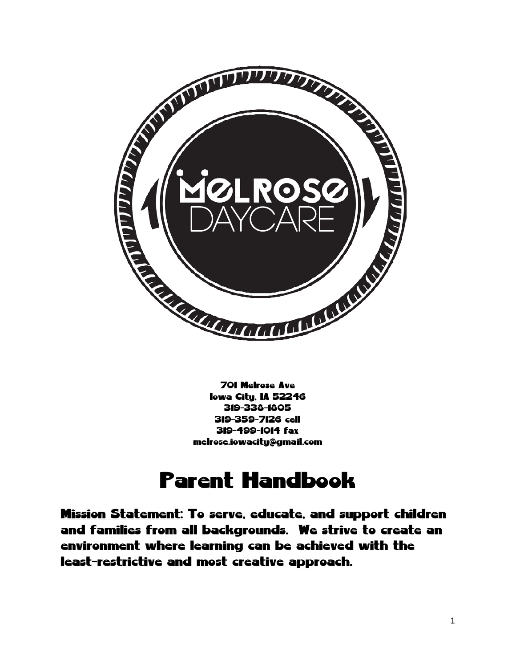

701 Melrose Ave Iowa City, IA 52246 319-338-1805 319-359-7126 cell 319-499-1014 fax melrose.iowacity@gmail.com

# Parent Handbook

Mission Statement: To serve, educate, and support children and families from all backgrounds. We strive to create an environment where learning can be achieved with the least-restrictive and most creative approach.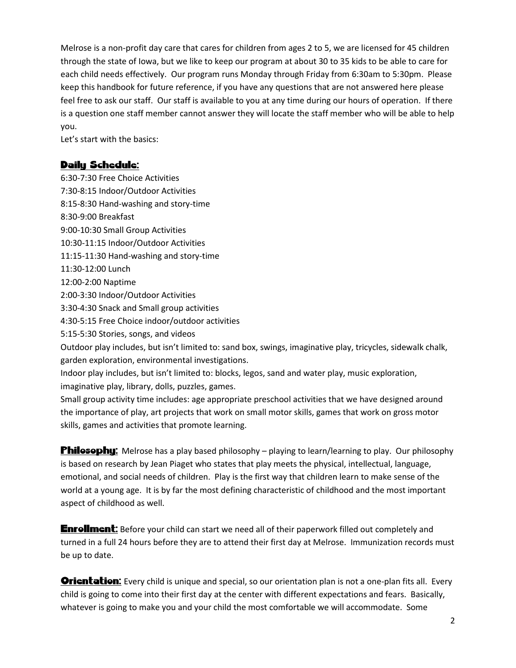Melrose is a non-profit day care that cares for children from ages 2 to 5, we are licensed for 45 children through the state of Iowa, but we like to keep our program at about 30 to 35 kids to be able to care for each child needs effectively. Our program runs Monday through Friday from 6:30am to 5:30pm. Please keep this handbook for future reference, if you have any questions that are not answered here please feel free to ask our staff. Our staff is available to you at any time during our hours of operation. If there is a question one staff member cannot answer they will locate the staff member who will be able to help you.

Let's start with the basics:

#### Daily Schedule:

6:30-7:30 Free Choice Activities 7:30-8:15 Indoor/Outdoor Activities 8:15-8:30 Hand-washing and story-time 8:30-9:00 Breakfast 9:00-10:30 Small Group Activities 10:30-11:15 Indoor/Outdoor Activities 11:15-11:30 Hand-washing and story-time 11:30-12:00 Lunch 12:00-2:00 Naptime 2:00-3:30 Indoor/Outdoor Activities 3:30-4:30 Snack and Small group activities 4:30-5:15 Free Choice indoor/outdoor activities 5:15-5:30 Stories, songs, and videos Outdoor play includes, but isn't limited to: sand box, swings, imaginative play, tricycles, sidewalk chalk, garden exploration, environmental investigations. Indoor play includes, but isn't limited to: blocks, legos, sand and water play, music exploration, imaginative play, library, dolls, puzzles, games.

Small group activity time includes: age appropriate preschool activities that we have designed around the importance of play, art projects that work on small motor skills, games that work on gross motor skills, games and activities that promote learning.

**Philosophy:** Melrose has a play based philosophy – playing to learn/learning to play. Our philosophy is based on research by Jean Piaget who states that play meets the physical, intellectual, language, emotional, and social needs of children. Play is the first way that children learn to make sense of the world at a young age. It is by far the most defining characteristic of childhood and the most important aspect of childhood as well.

**Enrollment:** Before your child can start we need all of their paperwork filled out completely and turned in a full 24 hours before they are to attend their first day at Melrose. Immunization records must be up to date.

**Orientation:** Every child is unique and special, so our orientation plan is not a one-plan fits all. Every child is going to come into their first day at the center with different expectations and fears. Basically, whatever is going to make you and your child the most comfortable we will accommodate. Some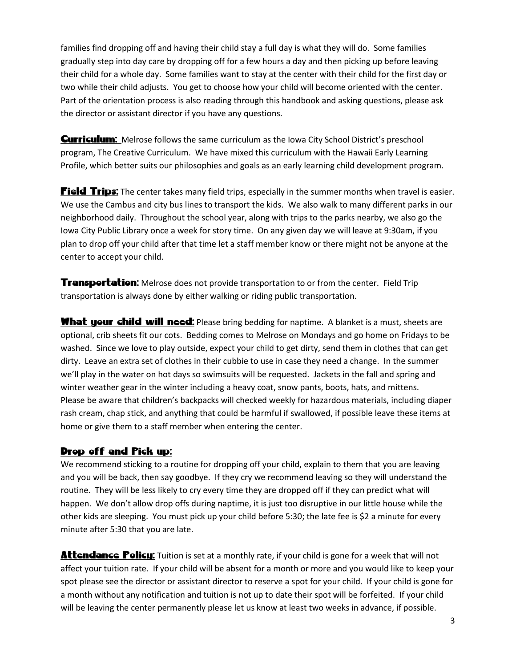families find dropping off and having their child stay a full day is what they will do. Some families gradually step into day care by dropping off for a few hours a day and then picking up before leaving their child for a whole day. Some families want to stay at the center with their child for the first day or two while their child adjusts. You get to choose how your child will become oriented with the center. Part of the orientation process is also reading through this handbook and asking questions, please ask the director or assistant director if you have any questions.

**Curriculum:** Melrose follows the same curriculum as the Iowa City School District's preschool program, The Creative Curriculum. We have mixed this curriculum with the Hawaii Early Learning Profile, which better suits our philosophies and goals as an early learning child development program.

**Field Trips:** The center takes many field trips, especially in the summer months when travel is easier. We use the Cambus and city bus lines to transport the kids. We also walk to many different parks in our neighborhood daily. Throughout the school year, along with trips to the parks nearby, we also go the Iowa City Public Library once a week for story time. On any given day we will leave at 9:30am, if you plan to drop off your child after that time let a staff member know or there might not be anyone at the center to accept your child.

**Transportation:** Melrose does not provide transportation to or from the center. Field Trip transportation is always done by either walking or riding public transportation.

What your child will need: Please bring bedding for naptime. A blanket is a must, sheets are optional, crib sheets fit our cots. Bedding comes to Melrose on Mondays and go home on Fridays to be washed. Since we love to play outside, expect your child to get dirty, send them in clothes that can get dirty. Leave an extra set of clothes in their cubbie to use in case they need a change. In the summer we'll play in the water on hot days so swimsuits will be requested. Jackets in the fall and spring and winter weather gear in the winter including a heavy coat, snow pants, boots, hats, and mittens. Please be aware that children's backpacks will checked weekly for hazardous materials, including diaper rash cream, chap stick, and anything that could be harmful if swallowed, if possible leave these items at home or give them to a staff member when entering the center.

## Drop off and Pick up:

We recommend sticking to a routine for dropping off your child, explain to them that you are leaving and you will be back, then say goodbye. If they cry we recommend leaving so they will understand the routine. They will be less likely to cry every time they are dropped off if they can predict what will happen. We don't allow drop offs during naptime, it is just too disruptive in our little house while the other kids are sleeping. You must pick up your child before 5:30; the late fee is \$2 a minute for every minute after 5:30 that you are late.

**Attendance Policy:** Tuition is set at a monthly rate, if your child is gone for a week that will not affect your tuition rate. If your child will be absent for a month or more and you would like to keep your spot please see the director or assistant director to reserve a spot for your child. If your child is gone for a month without any notification and tuition is not up to date their spot will be forfeited. If your child will be leaving the center permanently please let us know at least two weeks in advance, if possible.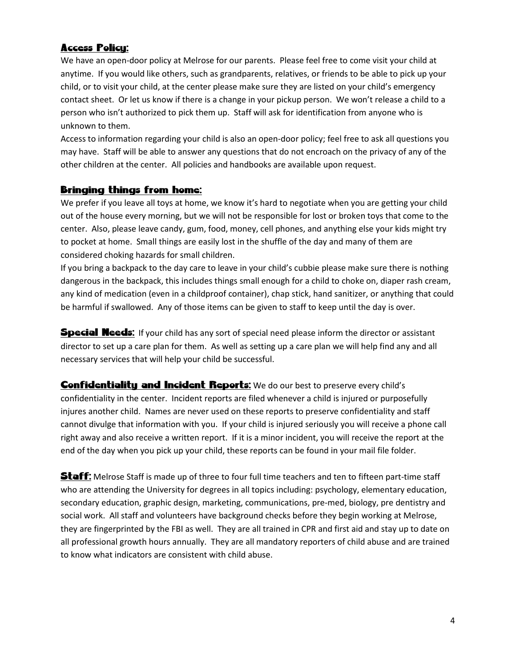# Access Policy:

We have an open-door policy at Melrose for our parents. Please feel free to come visit your child at anytime. If you would like others, such as grandparents, relatives, or friends to be able to pick up your child, or to visit your child, at the center please make sure they are listed on your child's emergency contact sheet. Or let us know if there is a change in your pickup person. We won't release a child to a person who isn't authorized to pick them up. Staff will ask for identification from anyone who is unknown to them.

Access to information regarding your child is also an open-door policy; feel free to ask all questions you may have. Staff will be able to answer any questions that do not encroach on the privacy of any of the other children at the center. All policies and handbooks are available upon request.

## Bringing things from home:

We prefer if you leave all toys at home, we know it's hard to negotiate when you are getting your child out of the house every morning, but we will not be responsible for lost or broken toys that come to the center. Also, please leave candy, gum, food, money, cell phones, and anything else your kids might try to pocket at home. Small things are easily lost in the shuffle of the day and many of them are considered choking hazards for small children.

If you bring a backpack to the day care to leave in your child's cubbie please make sure there is nothing dangerous in the backpack, this includes things small enough for a child to choke on, diaper rash cream, any kind of medication (even in a childproof container), chap stick, hand sanitizer, or anything that could be harmful if swallowed. Any of those items can be given to staff to keep until the day is over.

**Special Needs:** If your child has any sort of special need please inform the director or assistant director to set up a care plan for them. As well as setting up a care plan we will help find any and all necessary services that will help your child be successful.

**Confidentiality and Incident Reports:** We do our best to preserve every child's confidentiality in the center. Incident reports are filed whenever a child is injured or purposefully injures another child. Names are never used on these reports to preserve confidentiality and staff cannot divulge that information with you. If your child is injured seriously you will receive a phone call right away and also receive a written report. If it is a minor incident, you will receive the report at the end of the day when you pick up your child, these reports can be found in your mail file folder.

**Staff:** Melrose Staff is made up of three to four full time teachers and ten to fifteen part-time staff who are attending the University for degrees in all topics including: psychology, elementary education, secondary education, graphic design, marketing, communications, pre-med, biology, pre dentistry and social work. All staff and volunteers have background checks before they begin working at Melrose, they are fingerprinted by the FBI as well. They are all trained in CPR and first aid and stay up to date on all professional growth hours annually. They are all mandatory reporters of child abuse and are trained to know what indicators are consistent with child abuse.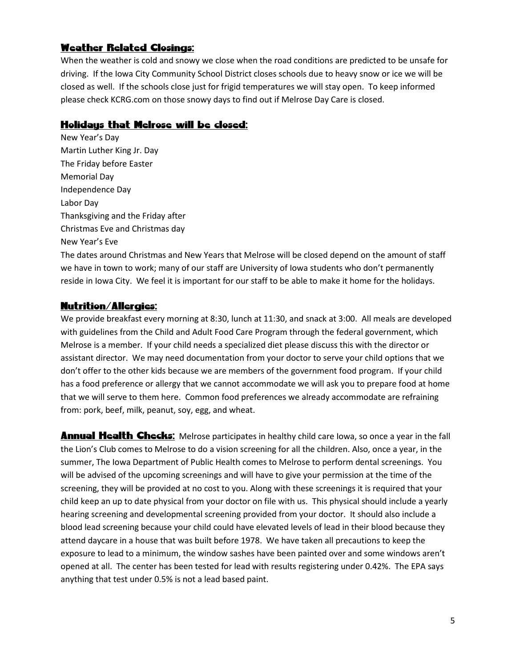# Weather Related Closings:

When the weather is cold and snowy we close when the road conditions are predicted to be unsafe for driving. If the Iowa City Community School District closes schools due to heavy snow or ice we will be closed as well. If the schools close just for frigid temperatures we will stay open. To keep informed please check KCRG.com on those snowy days to find out if Melrose Day Care is closed.

## Holidays that Melrose will be closed:

New Year's Day Martin Luther King Jr. Day The Friday before Easter Memorial Day Independence Day Labor Day Thanksgiving and the Friday after Christmas Eve and Christmas day New Year's Eve

The dates around Christmas and New Years that Melrose will be closed depend on the amount of staff we have in town to work; many of our staff are University of Iowa students who don't permanently reside in Iowa City. We feel it is important for our staff to be able to make it home for the holidays.

## Nutrition/Allergies:

We provide breakfast every morning at 8:30, lunch at 11:30, and snack at 3:00. All meals are developed with guidelines from the Child and Adult Food Care Program through the federal government, which Melrose is a member. If your child needs a specialized diet please discuss this with the director or assistant director. We may need documentation from your doctor to serve your child options that we don't offer to the other kids because we are members of the government food program. If your child has a food preference or allergy that we cannot accommodate we will ask you to prepare food at home that we will serve to them here. Common food preferences we already accommodate are refraining from: pork, beef, milk, peanut, soy, egg, and wheat.

**Annual Health Checks:** Melrose participates in healthy child care Iowa, so once a year in the fall the Lion's Club comes to Melrose to do a vision screening for all the children. Also, once a year, in the summer, The Iowa Department of Public Health comes to Melrose to perform dental screenings. You will be advised of the upcoming screenings and will have to give your permission at the time of the screening, they will be provided at no cost to you. Along with these screenings it is required that your child keep an up to date physical from your doctor on file with us. This physical should include a yearly hearing screening and developmental screening provided from your doctor. It should also include a blood lead screening because your child could have elevated levels of lead in their blood because they attend daycare in a house that was built before 1978. We have taken all precautions to keep the exposure to lead to a minimum, the window sashes have been painted over and some windows aren't opened at all. The center has been tested for lead with results registering under 0.42%. The EPA says anything that test under 0.5% is not a lead based paint.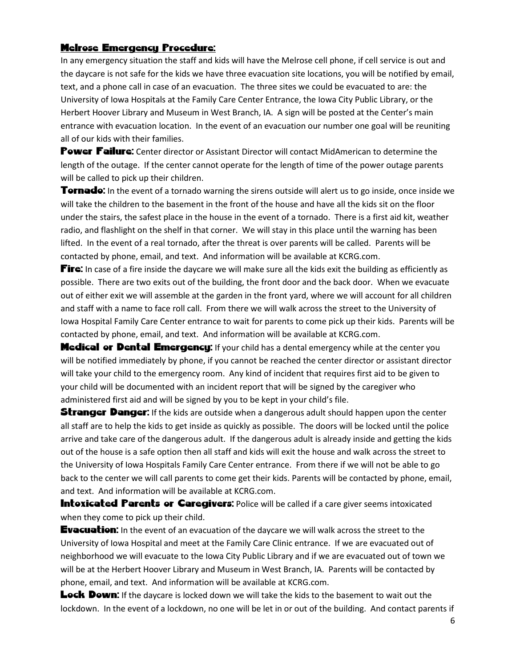#### Melrose Emergency Procedure:

In any emergency situation the staff and kids will have the Melrose cell phone, if cell service is out and the daycare is not safe for the kids we have three evacuation site locations, you will be notified by email, text, and a phone call in case of an evacuation. The three sites we could be evacuated to are: the University of Iowa Hospitals at the Family Care Center Entrance, the Iowa City Public Library, or the Herbert Hoover Library and Museum in West Branch, IA. A sign will be posted at the Center's main entrance with evacuation location. In the event of an evacuation our number one goal will be reuniting all of our kids with their families.

Power Failure: Center director or Assistant Director will contact MidAmerican to determine the length of the outage. If the center cannot operate for the length of time of the power outage parents will be called to pick up their children.

**Tornado:** In the event of a tornado warning the sirens outside will alert us to go inside, once inside we will take the children to the basement in the front of the house and have all the kids sit on the floor under the stairs, the safest place in the house in the event of a tornado. There is a first aid kit, weather radio, and flashlight on the shelf in that corner. We will stay in this place until the warning has been lifted. In the event of a real tornado, after the threat is over parents will be called. Parents will be contacted by phone, email, and text. And information will be available at KCRG.com.

**Fire:** In case of a fire inside the daycare we will make sure all the kids exit the building as efficiently as possible. There are two exits out of the building, the front door and the back door. When we evacuate out of either exit we will assemble at the garden in the front yard, where we will account for all children and staff with a name to face roll call. From there we will walk across the street to the University of Iowa Hospital Family Care Center entrance to wait for parents to come pick up their kids. Parents will be contacted by phone, email, and text. And information will be available at KCRG.com.

**Medical or Dental Emergency:** If your child has a dental emergency while at the center you will be notified immediately by phone, if you cannot be reached the center director or assistant director will take your child to the emergency room. Any kind of incident that requires first aid to be given to your child will be documented with an incident report that will be signed by the caregiver who administered first aid and will be signed by you to be kept in your child's file.

**Stranger Danger:** If the kids are outside when a dangerous adult should happen upon the center all staff are to help the kids to get inside as quickly as possible. The doors will be locked until the police arrive and take care of the dangerous adult. If the dangerous adult is already inside and getting the kids out of the house is a safe option then all staff and kids will exit the house and walk across the street to the University of Iowa Hospitals Family Care Center entrance. From there if we will not be able to go back to the center we will call parents to come get their kids. Parents will be contacted by phone, email, and text. And information will be available at KCRG.com.

**Intoxicated Parents or Caregivers:** Police will be called if a care giver seems intoxicated when they come to pick up their child.

**Evacuation:** In the event of an evacuation of the daycare we will walk across the street to the University of Iowa Hospital and meet at the Family Care Clinic entrance. If we are evacuated out of neighborhood we will evacuate to the Iowa City Public Library and if we are evacuated out of town we will be at the Herbert Hoover Library and Museum in West Branch, IA. Parents will be contacted by phone, email, and text. And information will be available at KCRG.com.

**Lock Down:** If the daycare is locked down we will take the kids to the basement to wait out the lockdown. In the event of a lockdown, no one will be let in or out of the building. And contact parents if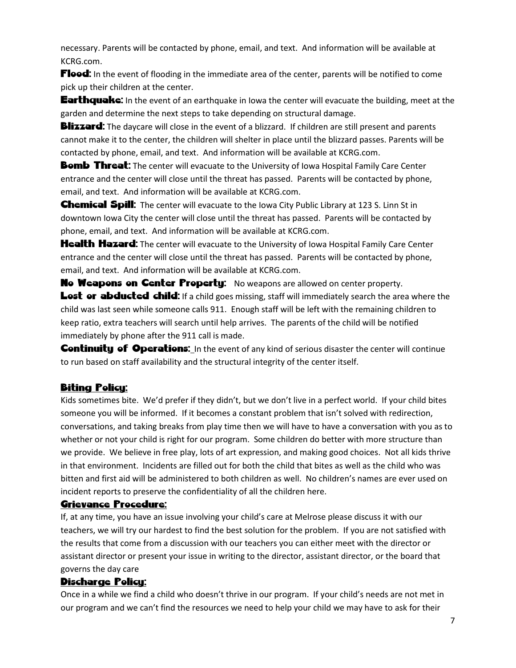necessary. Parents will be contacted by phone, email, and text. And information will be available at KCRG.com.

**Flood:** In the event of flooding in the immediate area of the center, parents will be notified to come pick up their children at the center.

**Earthquake:** In the event of an earthquake in Iowa the center will evacuate the building, meet at the garden and determine the next steps to take depending on structural damage.

**Blizzard:** The daycare will close in the event of a blizzard. If children are still present and parents cannot make it to the center, the children will shelter in place until the blizzard passes. Parents will be contacted by phone, email, and text. And information will be available at KCRG.com.

**Bomb Threat:** The center will evacuate to the University of Iowa Hospital Family Care Center entrance and the center will close until the threat has passed. Parents will be contacted by phone, email, and text. And information will be available at KCRG.com.

**Chemical Spill:** The center will evacuate to the Iowa City Public Library at 123 S. Linn St in downtown Iowa City the center will close until the threat has passed. Parents will be contacted by phone, email, and text. And information will be available at KCRG.com.

**Health Hazard:** The center will evacuate to the University of Iowa Hospital Family Care Center entrance and the center will close until the threat has passed. Parents will be contacted by phone, email, and text. And information will be available at KCRG.com.

**No Weapons on Center Property:** No weapons are allowed on center property. Lost or abducted child: If a child goes missing, staff will immediately search the area where the child was last seen while someone calls 911. Enough staff will be left with the remaining children to keep ratio, extra teachers will search until help arrives. The parents of the child will be notified immediately by phone after the 911 call is made.

**Continuity of Operations:** In the event of any kind of serious disaster the center will continue to run based on staff availability and the structural integrity of the center itself.

## Biting Policy:

Kids sometimes bite. We'd prefer if they didn't, but we don't live in a perfect world. If your child bites someone you will be informed. If it becomes a constant problem that isn't solved with redirection, conversations, and taking breaks from play time then we will have to have a conversation with you as to whether or not your child is right for our program. Some children do better with more structure than we provide. We believe in free play, lots of art expression, and making good choices. Not all kids thrive in that environment. Incidents are filled out for both the child that bites as well as the child who was bitten and first aid will be administered to both children as well. No children's names are ever used on incident reports to preserve the confidentiality of all the children here.

## Grievance Procedure:

If, at any time, you have an issue involving your child's care at Melrose please discuss it with our teachers, we will try our hardest to find the best solution for the problem. If you are not satisfied with the results that come from a discussion with our teachers you can either meet with the director or assistant director or present your issue in writing to the director, assistant director, or the board that governs the day care

#### Discharge Policy:

Once in a while we find a child who doesn't thrive in our program. If your child's needs are not met in our program and we can't find the resources we need to help your child we may have to ask for their